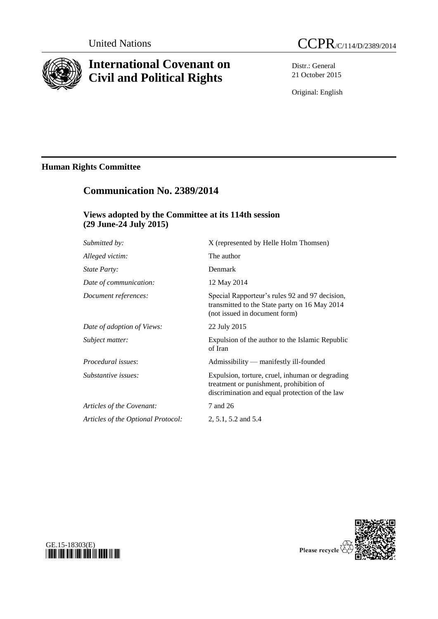

# **International Covenant on Civil and Political Rights**

Distr.: General 21 October 2015

Original: English

# **Human Rights Committee**

# **Communication No. 2389/2014**

## **Views adopted by the Committee at its 114th session (29 June-24 July 2015)**

| Submitted by:                      | X (represented by Helle Holm Thomsen)                                                                                                        |
|------------------------------------|----------------------------------------------------------------------------------------------------------------------------------------------|
| Alleged victim:                    | The author                                                                                                                                   |
| <i>State Party:</i>                | Denmark                                                                                                                                      |
| Date of communication:             | 12 May 2014                                                                                                                                  |
| Document references:               | Special Rapporteur's rules 92 and 97 decision,<br>transmitted to the State party on 16 May 2014<br>(not issued in document form)             |
| Date of adoption of Views:         | 22 July 2015                                                                                                                                 |
| Subject matter:                    | Expulsion of the author to the Islamic Republic<br>of Iran                                                                                   |
| Procedural issues:                 | Admissibility — manifestly ill-founded                                                                                                       |
| Substantive issues:                | Expulsion, torture, cruel, inhuman or degrading<br>treatment or punishment, prohibition of<br>discrimination and equal protection of the law |
| Articles of the Covenant:          | 7 and 26                                                                                                                                     |
| Articles of the Optional Protocol: | 2, 5.1, 5.2 and 5.4                                                                                                                          |



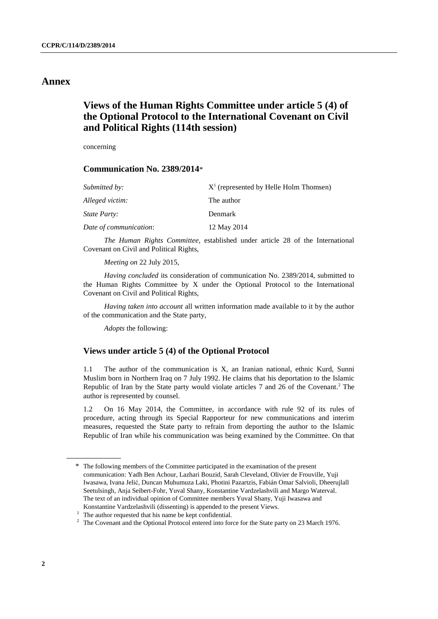## **Annex**

# **Views of the Human Rights Committee under article 5 (4) of the Optional Protocol to the International Covenant on Civil and Political Rights (114th session)**

concerning

### **Communication No. 2389/2014**\*

| Alleged victim:<br>The author         | $X1$ (represented by Helle Holm Thomsen) |  |
|---------------------------------------|------------------------------------------|--|
|                                       |                                          |  |
| <i>State Party:</i><br>Denmark        |                                          |  |
| Date of communication:<br>12 May 2014 |                                          |  |

*The Human Rights Committee*, established under article 28 of the International Covenant on Civil and Political Rights,

*Meeting on* 22 July 2015,

*Having concluded* its consideration of communication No. 2389/2014, submitted to the Human Rights Committee by X under the Optional Protocol to the International Covenant on Civil and Political Rights,

*Having taken into account* all written information made available to it by the author of the communication and the State party,

*Adopts* the following:

### **Views under article 5 (4) of the Optional Protocol**

1.1 The author of the communication is X, an Iranian national, ethnic Kurd, Sunni Muslim born in Northern Iraq on 7 July 1992. He claims that his deportation to the Islamic Republic of Iran by the State party would violate articles 7 and 26 of the Covenant. <sup>2</sup> The author is represented by counsel.

1.2 On 16 May 2014, the Committee, in accordance with rule 92 of its rules of procedure, acting through its Special Rapporteur for new communications and interim measures, requested the State party to refrain from deporting the author to the Islamic Republic of Iran while his communication was being examined by the Committee. On that

<sup>\*</sup> The following members of the Committee participated in the examination of the present communication: Yadh Ben Achour, Lazhari Bouzid, Sarah Cleveland, Olivier de Frouville, Yuji Iwasawa, Ivana Jelić, Duncan Muhumuza Laki, Photini Pazartzis, Fabián Omar Salvioli, Dheerujlall Seetulsingh, Anja Seibert-Fohr, Yuval Shany, Konstantine Vardzelashvili and Margo Waterval. The text of an individual opinion of Committee members Yuval Shany, Yuji Iwasawa and Konstantine Vardzelashvili (dissenting) is appended to the present Views.

 $1$  The author requested that his name be kept confidential.

<sup>&</sup>lt;sup>2</sup> The Covenant and the Optional Protocol entered into force for the State party on 23 March 1976.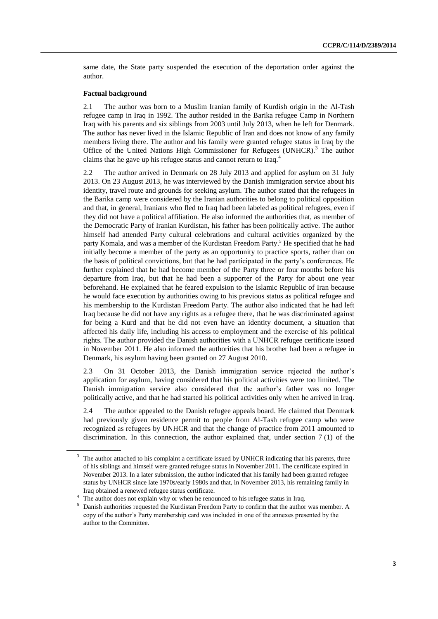same date, the State party suspended the execution of the deportation order against the author.

#### **Factual background**

2.1 The author was born to a Muslim Iranian family of Kurdish origin in the Al-Tash refugee camp in Iraq in 1992. The author resided in the Barika refugee Camp in Northern Iraq with his parents and six siblings from 2003 until July 2013, when he left for Denmark. The author has never lived in the Islamic Republic of Iran and does not know of any family members living there. The author and his family were granted refugee status in Iraq by the Office of the United Nations High Commissioner for Refugees (UNHCR).<sup>3</sup> The author claims that he gave up his refugee status and cannot return to Iraq.<sup>4</sup>

2.2 The author arrived in Denmark on 28 July 2013 and applied for asylum on 31 July 2013. On 23 August 2013, he was interviewed by the Danish immigration service about his identity, travel route and grounds for seeking asylum. The author stated that the refugees in the Barika camp were considered by the Iranian authorities to belong to political opposition and that, in general, Iranians who fled to Iraq had been labeled as political refugees, even if they did not have a political affiliation. He also informed the authorities that, as member of the Democratic Party of Iranian Kurdistan, his father has been politically active. The author himself had attended Party cultural celebrations and cultural activities organized by the party Komala, and was a member of the Kurdistan Freedom Party. <sup>5</sup> He specified that he had initially become a member of the party as an opportunity to practice sports, rather than on the basis of political convictions, but that he had participated in the party's conferences. He further explained that he had become member of the Party three or four months before his departure from Iraq, but that he had been a supporter of the Party for about one year beforehand. He explained that he feared expulsion to the Islamic Republic of Iran because he would face execution by authorities owing to his previous status as political refugee and his membership to the Kurdistan Freedom Party. The author also indicated that he had left Iraq because he did not have any rights as a refugee there, that he was discriminated against for being a Kurd and that he did not even have an identity document, a situation that affected his daily life, including his access to employment and the exercise of his political rights. The author provided the Danish authorities with a UNHCR refugee certificate issued in November 2011. He also informed the authorities that his brother had been a refugee in Denmark, his asylum having been granted on 27 August 2010.

2.3 On 31 October 2013, the Danish immigration service rejected the author's application for asylum, having considered that his political activities were too limited. The Danish immigration service also considered that the author's father was no longer politically active, and that he had started his political activities only when he arrived in Iraq.

2.4 The author appealed to the Danish refugee appeals board. He claimed that Denmark had previously given residence permit to people from Al-Tash refugee camp who were recognized as refugees by UNHCR and that the change of practice from 2011 amounted to discrimination. In this connection, the author explained that, under section 7 (1) of the

<sup>&</sup>lt;sup>3</sup> The author attached to his complaint a certificate issued by UNHCR indicating that his parents, three of his siblings and himself were granted refugee status in November 2011. The certificate expired in November 2013. In a later submission, the author indicated that his family had been granted refugee status by UNHCR since late 1970s/early 1980s and that, in November 2013, his remaining family in Iraq obtained a renewed refugee status certificate.

<sup>&</sup>lt;sup>4</sup> The author does not explain why or when he renounced to his refugee status in Iraq.

<sup>5</sup> Danish authorities requested the Kurdistan Freedom Party to confirm that the author was member. A copy of the author's Party membership card was included in one of the annexes presented by the author to the Committee.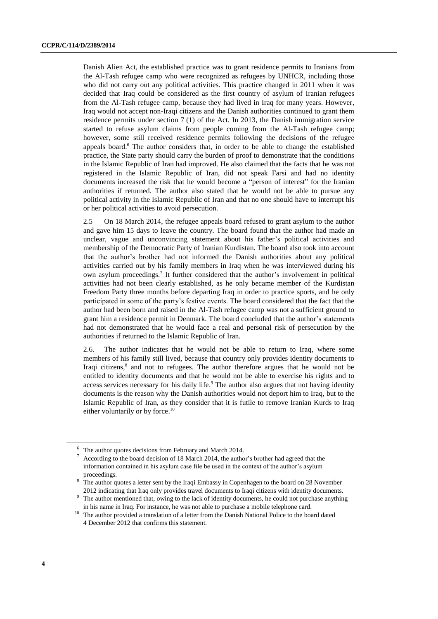Danish Alien Act, the established practice was to grant residence permits to Iranians from the Al-Tash refugee camp who were recognized as refugees by UNHCR, including those who did not carry out any political activities. This practice changed in 2011 when it was decided that Iraq could be considered as the first country of asylum of Iranian refugees from the Al-Tash refugee camp, because they had lived in Iraq for many years. However, Iraq would not accept non-Iraqi citizens and the Danish authorities continued to grant them residence permits under section 7 (1) of the Act. In 2013, the Danish immigration service started to refuse asylum claims from people coming from the Al-Tash refugee camp; however, some still received residence permits following the decisions of the refugee appeals board. <sup>6</sup> The author considers that, in order to be able to change the established practice, the State party should carry the burden of proof to demonstrate that the conditions in the Islamic Republic of Iran had improved. He also claimed that the facts that he was not registered in the Islamic Republic of Iran, did not speak Farsi and had no identity documents increased the risk that he would become a "person of interest" for the Iranian authorities if returned. The author also stated that he would not be able to pursue any political activity in the Islamic Republic of Iran and that no one should have to interrupt his or her political activities to avoid persecution.

2.5 On 18 March 2014, the refugee appeals board refused to grant asylum to the author and gave him 15 days to leave the country. The board found that the author had made an unclear, vague and unconvincing statement about his father's political activities and membership of the Democratic Party of Iranian Kurdistan. The board also took into account that the author's brother had not informed the Danish authorities about any political activities carried out by his family members in Iraq when he was interviewed during his own asylum proceedings.<sup>7</sup> It further considered that the author's involvement in political activities had not been clearly established, as he only became member of the Kurdistan Freedom Party three months before departing Iraq in order to practice sports, and he only participated in some of the party's festive events. The board considered that the fact that the author had been born and raised in the Al-Tash refugee camp was not a sufficient ground to grant him a residence permit in Denmark. The board concluded that the author's statements had not demonstrated that he would face a real and personal risk of persecution by the authorities if returned to the Islamic Republic of Iran.

2.6. The author indicates that he would not be able to return to Iraq, where some members of his family still lived, because that country only provides identity documents to Iraqi citizens, 8 and not to refugees. The author therefore argues that he would not be entitled to identity documents and that he would not be able to exercise his rights and to access services necessary for his daily life.<sup>9</sup> The author also argues that not having identity documents is the reason why the Danish authorities would not deport him to Iraq, but to the Islamic Republic of Iran, as they consider that it is futile to remove Iranian Kurds to Iraq either voluntarily or by force.<sup>10</sup>

 $6\text{ The author quotes decisions from February and March } 2014.$ 

According to the board decision of 18 March 2014, the author's brother had agreed that the information contained in his asylum case file be used in the context of the author's asylum proceedings.

<sup>&</sup>lt;sup>8</sup> The author quotes a letter sent by the Iraqi Embassy in Copenhagen to the board on 28 November 2012 indicating that Iraq only provides travel documents to Iraqi citizens with identity documents.

The author mentioned that, owing to the lack of identity documents, he could not purchase anything in his name in Iraq. For instance, he was not able to purchase a mobile telephone card.

<sup>&</sup>lt;sup>10</sup> The author provided a translation of a letter from the Danish National Police to the board dated 4 December 2012 that confirms this statement.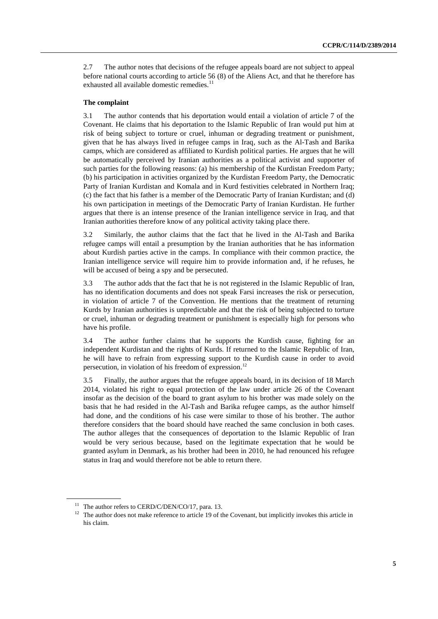2.7 The author notes that decisions of the refugee appeals board are not subject to appeal before national courts according to article 56 (8) of the Aliens Act, and that he therefore has exhausted all available domestic remedies. $^{11}$ 

#### **The complaint**

3.1 The author contends that his deportation would entail a violation of article 7 of the Covenant. He claims that his deportation to the Islamic Republic of Iran would put him at risk of being subject to torture or cruel, inhuman or degrading treatment or punishment, given that he has always lived in refugee camps in Iraq, such as the Al-Tash and Barika camps, which are considered as affiliated to Kurdish political parties. He argues that he will be automatically perceived by Iranian authorities as a political activist and supporter of such parties for the following reasons: (a) his membership of the Kurdistan Freedom Party; (b) his participation in activities organized by the Kurdistan Freedom Party, the Democratic Party of Iranian Kurdistan and Komala and in Kurd festivities celebrated in Northern Iraq; (c) the fact that his father is a member of the Democratic Party of Iranian Kurdistan; and (d) his own participation in meetings of the Democratic Party of Iranian Kurdistan. He further argues that there is an intense presence of the Iranian intelligence service in Iraq, and that Iranian authorities therefore know of any political activity taking place there.

3.2 Similarly, the author claims that the fact that he lived in the Al-Tash and Barika refugee camps will entail a presumption by the Iranian authorities that he has information about Kurdish parties active in the camps. In compliance with their common practice, the Iranian intelligence service will require him to provide information and, if he refuses, he will be accused of being a spy and be persecuted.

3.3 The author adds that the fact that he is not registered in the Islamic Republic of Iran, has no identification documents and does not speak Farsi increases the risk or persecution, in violation of article 7 of the Convention. He mentions that the treatment of returning Kurds by Iranian authorities is unpredictable and that the risk of being subjected to torture or cruel, inhuman or degrading treatment or punishment is especially high for persons who have his profile.

3.4 The author further claims that he supports the Kurdish cause, fighting for an independent Kurdistan and the rights of Kurds. If returned to the Islamic Republic of Iran, he will have to refrain from expressing support to the Kurdish cause in order to avoid persecution, in violation of his freedom of expression.<sup>12</sup>

3.5 Finally, the author argues that the refugee appeals board, in its decision of 18 March 2014, violated his right to equal protection of the law under article 26 of the Covenant insofar as the decision of the board to grant asylum to his brother was made solely on the basis that he had resided in the Al-Tash and Barika refugee camps, as the author himself had done, and the conditions of his case were similar to those of his brother. The author therefore considers that the board should have reached the same conclusion in both cases. The author alleges that the consequences of deportation to the Islamic Republic of Iran would be very serious because, based on the legitimate expectation that he would be granted asylum in Denmark, as his brother had been in 2010, he had renounced his refugee status in Iraq and would therefore not be able to return there.

<sup>&</sup>lt;sup>11</sup> The author refers to CERD/C/DEN/CO/17, para. 13.

<sup>&</sup>lt;sup>12</sup> The author does not make reference to article 19 of the Covenant, but implicitly invokes this article in his claim.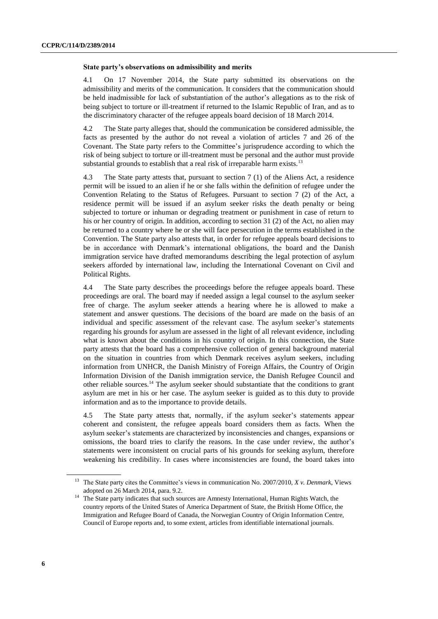#### **State party's observations on admissibility and merits**

4.1 On 17 November 2014, the State party submitted its observations on the admissibility and merits of the communication. It considers that the communication should be held inadmissible for lack of substantiation of the author's allegations as to the risk of being subject to torture or ill-treatment if returned to the Islamic Republic of Iran, and as to the discriminatory character of the refugee appeals board decision of 18 March 2014.

4.2 The State party alleges that, should the communication be considered admissible, the facts as presented by the author do not reveal a violation of articles 7 and 26 of the Covenant. The State party refers to the Committee's jurisprudence according to which the risk of being subject to torture or ill-treatment must be personal and the author must provide substantial grounds to establish that a real risk of irreparable harm exists.<sup>13</sup>

4.3 The State party attests that, pursuant to section 7 (1) of the Aliens Act, a residence permit will be issued to an alien if he or she falls within the definition of refugee under the Convention Relating to the Status of Refugees. Pursuant to section 7 (2) of the Act, a residence permit will be issued if an asylum seeker risks the death penalty or being subjected to torture or inhuman or degrading treatment or punishment in case of return to his or her country of origin. In addition, according to section 31 (2) of the Act, no alien may be returned to a country where he or she will face persecution in the terms established in the Convention. The State party also attests that, in order for refugee appeals board decisions to be in accordance with Denmark's international obligations, the board and the Danish immigration service have drafted memorandums describing the legal protection of asylum seekers afforded by international law, including the International Covenant on Civil and Political Rights.

4.4 The State party describes the proceedings before the refugee appeals board. These proceedings are oral. The board may if needed assign a legal counsel to the asylum seeker free of charge. The asylum seeker attends a hearing where he is allowed to make a statement and answer questions. The decisions of the board are made on the basis of an individual and specific assessment of the relevant case. The asylum seeker's statements regarding his grounds for asylum are assessed in the light of all relevant evidence, including what is known about the conditions in his country of origin. In this connection, the State party attests that the board has a comprehensive collection of general background material on the situation in countries from which Denmark receives asylum seekers, including information from UNHCR, the Danish Ministry of Foreign Affairs, the Country of Origin Information Division of the Danish immigration service, the Danish Refugee Council and other reliable sources.<sup>14</sup> The asylum seeker should substantiate that the conditions to grant asylum are met in his or her case. The asylum seeker is guided as to this duty to provide information and as to the importance to provide details.

<span id="page-5-0"></span>4.5 The State party attests that, normally, if the asylum seeker's statements appear coherent and consistent, the refugee appeals board considers them as facts. When the asylum seeker's statements are characterized by inconsistencies and changes, expansions or omissions, the board tries to clarify the reasons. In the case under review, the author's statements were inconsistent on crucial parts of his grounds for seeking asylum, therefore weakening his credibility. In cases where inconsistencies are found, the board takes into

<sup>13</sup> The State party cites the Committee's views in communication No. 2007/2010, *X v. Denmark*, Views adopted on 26 March 2014, para. 9.2.

<sup>&</sup>lt;sup>14</sup> The State party indicates that such sources are Amnesty International, Human Rights Watch, the country reports of the United States of America Department of State, the British Home Office, the Immigration and Refugee Board of Canada, the Norwegian Country of Origin Information Centre, Council of Europe reports and, to some extent, articles from identifiable international journals.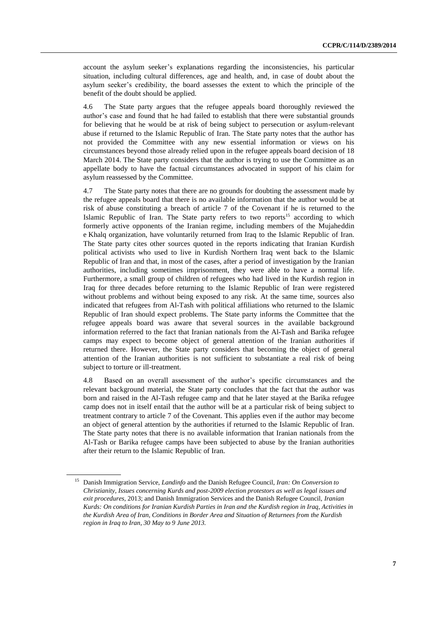account the asylum seeker's explanations regarding the inconsistencies, his particular situation, including cultural differences, age and health, and, in case of doubt about the asylum seeker's credibility, the board assesses the extent to which the principle of the benefit of the doubt should be applied.

4.6 The State party argues that the refugee appeals board thoroughly reviewed the author's case and found that he had failed to establish that there were substantial grounds for believing that he would be at risk of being subject to persecution or asylum-relevant abuse if returned to the Islamic Republic of Iran. The State party notes that the author has not provided the Committee with any new essential information or views on his circumstances beyond those already relied upon in the refugee appeals board decision of 18 March 2014. The State party considers that the author is trying to use the Committee as an appellate body to have the factual circumstances advocated in support of his claim for asylum reassessed by the Committee.

4.7 The State party notes that there are no grounds for doubting the assessment made by the refugee appeals board that there is no available information that the author would be at risk of abuse constituting a breach of article 7 of the Covenant if he is returned to the Islamic Republic of Iran. The State party refers to two reports<sup>15</sup> according to which formerly active opponents of the Iranian regime, including members of the Mujaheddin e Khalq organization, have voluntarily returned from Iraq to the Islamic Republic of Iran. The State party cites other sources quoted in the reports indicating that Iranian Kurdish political activists who used to live in Kurdish Northern Iraq went back to the Islamic Republic of Iran and that, in most of the cases, after a period of investigation by the Iranian authorities, including sometimes imprisonment, they were able to have a normal life. Furthermore, a small group of children of refugees who had lived in the Kurdish region in Iraq for three decades before returning to the Islamic Republic of Iran were registered without problems and without being exposed to any risk. At the same time, sources also indicated that refugees from Al-Tash with political affiliations who returned to the Islamic Republic of Iran should expect problems. The State party informs the Committee that the refugee appeals board was aware that several sources in the available background information referred to the fact that Iranian nationals from the Al-Tash and Barika refugee camps may expect to become object of general attention of the Iranian authorities if returned there. However, the State party considers that becoming the object of general attention of the Iranian authorities is not sufficient to substantiate a real risk of being subject to torture or ill-treatment.

4.8 Based on an overall assessment of the author's specific circumstances and the relevant background material, the State party concludes that the fact that the author was born and raised in the Al-Tash refugee camp and that he later stayed at the Barika refugee camp does not in itself entail that the author will be at a particular risk of being subject to treatment contrary to article 7 of the Covenant. This applies even if the author may become an object of general attention by the authorities if returned to the Islamic Republic of Iran. The State party notes that there is no available information that Iranian nationals from the Al-Tash or Barika refugee camps have been subjected to abuse by the Iranian authorities after their return to the Islamic Republic of Iran.

<sup>15</sup> Danish Immigration Service, *Landinfo* and the Danish Refugee Council, *Iran: On Conversion to Christianity, Issues concerning Kurds and post-2009 election protestors as well as legal issues and exit procedures,* 2013; and Danish Immigration Services and the Danish Refugee Council, *Iranian Kurds: On conditions for Iranian Kurdish Parties in Iran and the Kurdish region in Iraq, Activities in the Kurdish Area of Iran, Conditions in Border Area and Situation of Returnees from the Kurdish region in Iraq to Iran, 30 May to 9 June 2013.*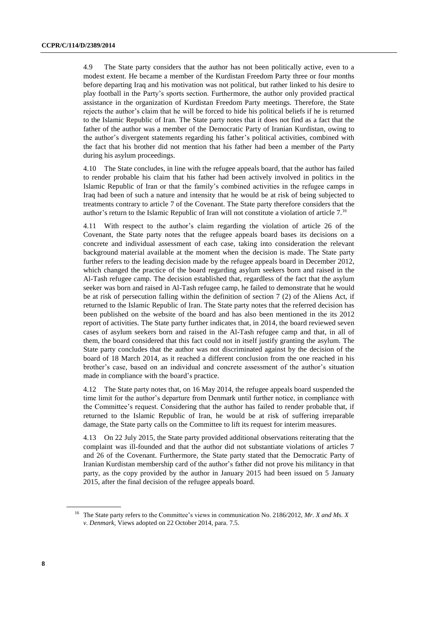4.9 The State party considers that the author has not been politically active, even to a modest extent. He became a member of the Kurdistan Freedom Party three or four months before departing Iraq and his motivation was not political, but rather linked to his desire to play football in the Party's sports section. Furthermore, the author only provided practical assistance in the organization of Kurdistan Freedom Party meetings. Therefore, the State rejects the author's claim that he will be forced to hide his political beliefs if he is returned to the Islamic Republic of Iran. The State party notes that it does not find as a fact that the father of the author was a member of the Democratic Party of Iranian Kurdistan, owing to the author's divergent statements regarding his father's political activities, combined with the fact that his brother did not mention that his father had been a member of the Party during his asylum proceedings.

4.10 The State concludes, in line with the refugee appeals board, that the author has failed to render probable his claim that his father had been actively involved in politics in the Islamic Republic of Iran or that the family's combined activities in the refugee camps in Iraq had been of such a nature and intensity that he would be at risk of being subjected to treatments contrary to article 7 of the Covenant. The State party therefore considers that the author's return to the Islamic Republic of Iran will not constitute a violation of article 7.<sup>16</sup>

4.11 With respect to the author's claim regarding the violation of article 26 of the Covenant, the State party notes that the refugee appeals board bases its decisions on a concrete and individual assessment of each case, taking into consideration the relevant background material available at the moment when the decision is made. The State party further refers to the leading decision made by the refugee appeals board in December 2012, which changed the practice of the board regarding asylum seekers born and raised in the Al-Tash refugee camp. The decision established that, regardless of the fact that the asylum seeker was born and raised in Al-Tash refugee camp, he failed to demonstrate that he would be at risk of persecution falling within the definition of section 7 (2) of the Aliens Act, if returned to the Islamic Republic of Iran. The State party notes that the referred decision has been published on the website of the board and has also been mentioned in the its 2012 report of activities. The State party further indicates that, in 2014, the board reviewed seven cases of asylum seekers born and raised in the Al-Tash refugee camp and that, in all of them, the board considered that this fact could not in itself justify granting the asylum. The State party concludes that the author was not discriminated against by the decision of the board of 18 March 2014, as it reached a different conclusion from the one reached in his brother's case, based on an individual and concrete assessment of the author's situation made in compliance with the board's practice.

4.12 The State party notes that, on 16 May 2014, the refugee appeals board suspended the time limit for the author's departure from Denmark until further notice, in compliance with the Committee's request. Considering that the author has failed to render probable that, if returned to the Islamic Republic of Iran, he would be at risk of suffering irreparable damage, the State party calls on the Committee to lift its request for interim measures.

4.13 On 22 July 2015, the State party provided additional observations reiterating that the complaint was ill-founded and that the author did not substantiate violations of articles 7 and 26 of the Covenant. Furthermore, the State party stated that the Democratic Party of Iranian Kurdistan membership card of the author's father did not prove his militancy in that party, as the copy provided by the author in January 2015 had been issued on 5 January 2015, after the final decision of the refugee appeals board.

<sup>&</sup>lt;sup>16</sup> The State party refers to the Committee's views in communication No. 2186/2012, *Mr. X and Ms. X v. Denmark,* Views adopted on 22 October 2014, para. 7.5.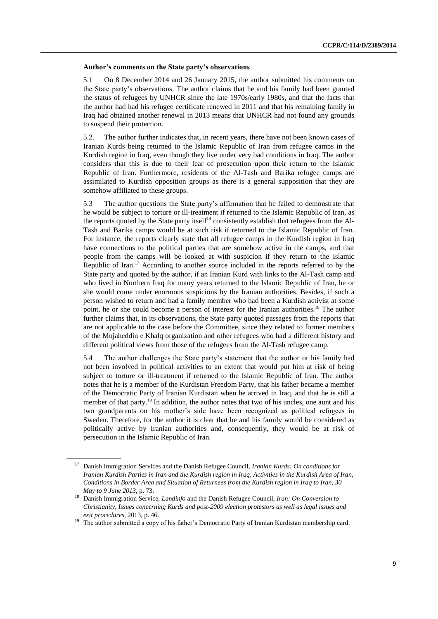#### **Author's comments on the State party's observations**

5.1 On 8 December 2014 and 26 January 2015, the author submitted his comments on the State party's observations. The author claims that he and his family had been granted the status of refugees by UNHCR since the late 1970s/early 1980s, and that the facts that the author had had his refugee certificate renewed in 2011 and that his remaining family in Iraq had obtained another renewal in 2013 means that UNHCR had not found any grounds to suspend their protection.

5.2. The author further indicates that, in recent years, there have not been known cases of Iranian Kurds being returned to the Islamic Republic of Iran from refugee camps in the Kurdish region in Iraq, even though they live under very bad conditions in Iraq. The author considers that this is due to their fear of prosecution upon their return to the Islamic Republic of Iran. Furthermore, residents of the Al-Tash and Barika refugee camps are assimilated to Kurdish opposition groups as there is a general supposition that they are somehow affiliated to these groups.

5.3 The author questions the State party's affirmation that he failed to demonstrate that he would be subject to torture or ill-treatment if returned to the Islamic Republic of Iran, as the reports quoted by the State party itself $14$  consistently establish that refugees from the Al-Tash and Barika camps would be at such risk if returned to the Islamic Republic of Iran. For instance, the reports clearly state that all refugee camps in the Kurdish region in Iraq have connections to the political parties that are somehow active in the camps, and that people from the camps will be looked at with suspicion if they return to the Islamic Republic of Iran.<sup>17</sup> According to another source included in the reports referred to by the State party and quoted by the author, if an Iranian Kurd with links to the Al-Tash camp and who lived in Northern Iraq for many years returned to the Islamic Republic of Iran, he or she would come under enormous suspicions by the Iranian authorities. Besides, if such a person wished to return and had a family member who had been a Kurdish activist at some point, he or she could become a person of interest for the Iranian authorities.<sup>18</sup> The author further claims that, in its observations, the State party quoted passages from the reports that are not applicable to the case before the Committee, since they related to former members of the Mujaheddin e Khalq organization and other refugees who had a different history and different political views from those of the refugees from the Al-Tash refugee camp.

5.4 The author challenges the State party's statement that the author or his family had not been involved in political activities to an extent that would put him at risk of being subject to torture or ill-treatment if returned to the Islamic Republic of Iran. The author notes that he is a member of the Kurdistan Freedom Party, that his father became a member of the Democratic Party of Iranian Kurdistan when he arrived in Iraq, and that he is still a member of that party.<sup>19</sup> In addition, the author notes that two of his uncles, one aunt and his two grandparents on his mother's side have been recognized as political refugees in Sweden. Therefore, for the author it is clear that he and his family would be considered as politically active by Iranian authorities and, consequently, they would be at risk of persecution in the Islamic Republic of Iran.

<sup>17</sup> Danish Immigration Services and the Danish Refugee Council, *Iranian Kurds: On conditions for Iranian Kurdish Parties in Iran and the Kurdish region in Iraq, Activities in the Kurdish Area of Iran, Conditions in Border Area and Situation of Returnees from the Kurdish region in Iraq to Iran, 30 May to 9 June 2013,* p. 73.

<sup>18</sup> Danish Immigration Service, *Landinfo* and the Danish Refugee Council, *Iran: On Conversion to Christianity, Issues concerning Kurds and post-2009 election protestors as well as legal issues and exit procedures,* 2013, p. 46.

<sup>&</sup>lt;sup>19</sup> The author submitted a copy of his father's Democratic Party of Iranian Kurdistan membership card.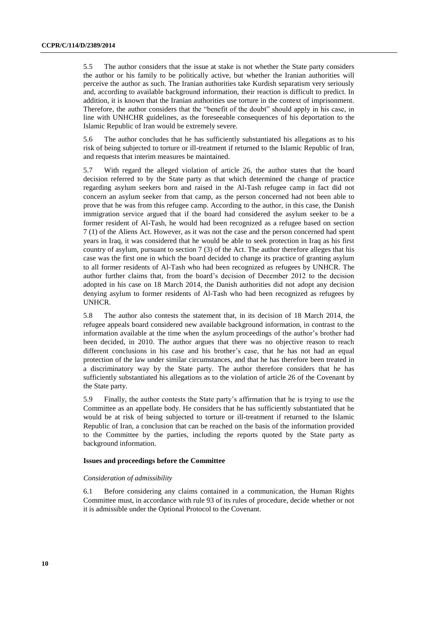5.5 The author considers that the issue at stake is not whether the State party considers the author or his family to be politically active, but whether the Iranian authorities will perceive the author as such. The Iranian authorities take Kurdish separatism very seriously and, according to available background information, their reaction is difficult to predict. In addition, it is known that the Iranian authorities use torture in the context of imprisonment. Therefore, the author considers that the "benefit of the doubt" should apply in his case, in line with UNHCHR guidelines, as the foreseeable consequences of his deportation to the Islamic Republic of Iran would be extremely severe.

5.6 The author concludes that he has sufficiently substantiated his allegations as to his risk of being subjected to torture or ill-treatment if returned to the Islamic Republic of Iran, and requests that interim measures be maintained.

5.7 With regard the alleged violation of article 26, the author states that the board decision referred to by the State party as that which determined the change of practice regarding asylum seekers born and raised in the Al-Tash refugee camp in fact did not concern an asylum seeker from that camp, as the person concerned had not been able to prove that he was from this refugee camp. According to the author, in this case, the Danish immigration service argued that if the board had considered the asylum seeker to be a former resident of Al-Tash, he would had been recognized as a refugee based on section 7 (1) of the Aliens Act. However, as it was not the case and the person concerned had spent years in Iraq, it was considered that he would be able to seek protection in Iraq as his first country of asylum, pursuant to section 7 (3) of the Act. The author therefore alleges that his case was the first one in which the board decided to change its practice of granting asylum to all former residents of Al-Tash who had been recognized as refugees by UNHCR. The author further claims that, from the board's decision of December 2012 to the decision adopted in his case on 18 March 2014, the Danish authorities did not adopt any decision denying asylum to former residents of Al-Tash who had been recognized as refugees by UNHCR.

5.8 The author also contests the statement that, in its decision of 18 March 2014, the refugee appeals board considered new available background information, in contrast to the information available at the time when the asylum proceedings of the author's brother had been decided, in 2010. The author argues that there was no objective reason to reach different conclusions in his case and his brother's case, that he has not had an equal protection of the law under similar circumstances, and that he has therefore been treated in a discriminatory way by the State party. The author therefore considers that he has sufficiently substantiated his allegations as to the violation of article 26 of the Covenant by the State party.

5.9 Finally, the author contests the State party's affirmation that he is trying to use the Committee as an appellate body. He considers that he has sufficiently substantiated that he would be at risk of being subjected to torture or ill-treatment if returned to the Islamic Republic of Iran, a conclusion that can be reached on the basis of the information provided to the Committee by the parties, including the reports quoted by the State party as background information.

#### **Issues and proceedings before the Committee**

#### *Consideration of admissibility*

6.1 Before considering any claims contained in a communication, the Human Rights Committee must, in accordance with rule 93 of its rules of procedure, decide whether or not it is admissible under the Optional Protocol to the Covenant.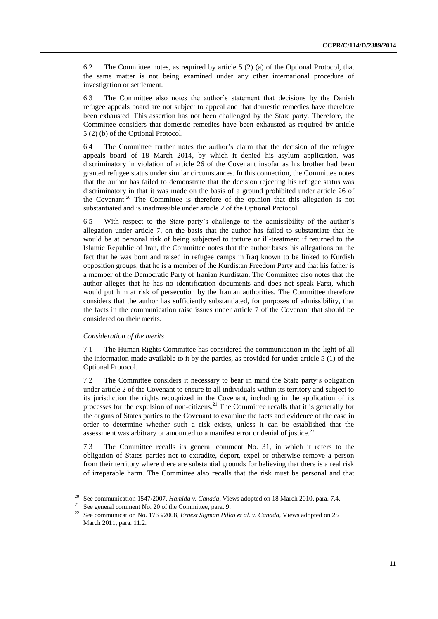6.2 The Committee notes, as required by article 5 (2) (a) of the Optional Protocol, that the same matter is not being examined under any other international procedure of investigation or settlement.

6.3 The Committee also notes the author's statement that decisions by the Danish refugee appeals board are not subject to appeal and that domestic remedies have therefore been exhausted. This assertion has not been challenged by the State party. Therefore, the Committee considers that domestic remedies have been exhausted as required by article 5 (2) (b) of the Optional Protocol.

6.4 The Committee further notes the author's claim that the decision of the refugee appeals board of 18 March 2014, by which it denied his asylum application, was discriminatory in violation of article 26 of the Covenant insofar as his brother had been granted refugee status under similar circumstances. In this connection, the Committee notes that the author has failed to demonstrate that the decision rejecting his refugee status was discriminatory in that it was made on the basis of a ground prohibited under article 26 of the Covenant.<sup>20</sup> The Committee is therefore of the opinion that this allegation is not substantiated and is inadmissible under article 2 of the Optional Protocol.

6.5 With respect to the State party's challenge to the admissibility of the author's allegation under article 7, on the basis that the author has failed to substantiate that he would be at personal risk of being subjected to torture or ill-treatment if returned to the Islamic Republic of Iran, the Committee notes that the author bases his allegations on the fact that he was born and raised in refugee camps in Iraq known to be linked to Kurdish opposition groups, that he is a member of the Kurdistan Freedom Party and that his father is a member of the Democratic Party of Iranian Kurdistan. The Committee also notes that the author alleges that he has no identification documents and does not speak Farsi, which would put him at risk of persecution by the Iranian authorities. The Committee therefore considers that the author has sufficiently substantiated, for purposes of admissibility, that the facts in the communication raise issues under article 7 of the Covenant that should be considered on their merits.

#### *Consideration of the merits*

7.1 The Human Rights Committee has considered the communication in the light of all the information made available to it by the parties, as provided for under article 5 (1) of the Optional Protocol.

7.2 The Committee considers it necessary to bear in mind the State party's obligation under article 2 of the Covenant to ensure to all individuals within its territory and subject to its jurisdiction the rights recognized in the Covenant, including in the application of its processes for the expulsion of non-citizens.<sup>21</sup> The Committee recalls that it is generally for the organs of States parties to the Covenant to examine the facts and evidence of the case in order to determine whether such a risk exists, unless it can be established that the assessment was arbitrary or amounted to a manifest error or denial of justice.<sup>22</sup>

7.3 The Committee recalls its general comment No. 31, in which it refers to the obligation of States parties not to extradite, deport, expel or otherwise remove a person from their territory where there are substantial grounds for believing that there is a real risk of irreparable harm. The Committee also recalls that the risk must be personal and that

<sup>&</sup>lt;sup>20</sup> See communication 1547/2007, *Hamida v. Canada*, Views adopted on 18 March 2010, para. 7.4.

<sup>21</sup> See general comment No. 20 of the Committee, para. 9.

<sup>22</sup> See communication No. 1763/2008, *Ernest Sigman Pillai et al. v. Canada*, Views adopted on 25 March 2011, para. 11.2.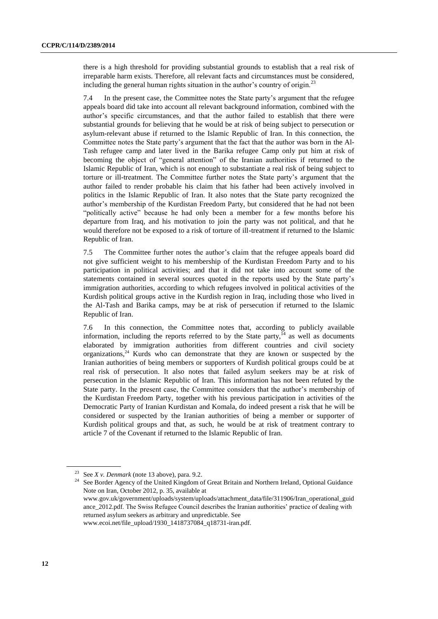there is a high threshold for providing substantial grounds to establish that a real risk of irreparable harm exists. Therefore, all relevant facts and circumstances must be considered, including the general human rights situation in the author's country of origin.<sup>23</sup>

7.4 In the present case, the Committee notes the State party's argument that the refugee appeals board did take into account all relevant background information, combined with the author's specific circumstances, and that the author failed to establish that there were substantial grounds for believing that he would be at risk of being subject to persecution or asylum-relevant abuse if returned to the Islamic Republic of Iran. In this connection, the Committee notes the State party's argument that the fact that the author was born in the Al-Tash refugee camp and later lived in the Barika refugee Camp only put him at risk of becoming the object of "general attention" of the Iranian authorities if returned to the Islamic Republic of Iran, which is not enough to substantiate a real risk of being subject to torture or ill-treatment. The Committee further notes the State party's argument that the author failed to render probable his claim that his father had been actively involved in politics in the Islamic Republic of Iran. It also notes that the State party recognized the author's membership of the Kurdistan Freedom Party, but considered that he had not been "politically active" because he had only been a member for a few months before his departure from Iraq, and his motivation to join the party was not political, and that he would therefore not be exposed to a risk of torture of ill-treatment if returned to the Islamic Republic of Iran.

7.5 The Committee further notes the author's claim that the refugee appeals board did not give sufficient weight to his membership of the Kurdistan Freedom Party and to his participation in political activities; and that it did not take into account some of the statements contained in several sources quoted in the reports used by the State party's immigration authorities, according to which refugees involved in political activities of the Kurdish political groups active in the Kurdish region in Iraq, including those who lived in the Al-Tash and Barika camps, may be at risk of persecution if returned to the Islamic Republic of Iran.

7.6 In this connection, the Committee notes that, according to publicly available information, including the reports referred to by the State party, $14$  as well as documents elaborated by immigration authorities from different countries and civil society organizations, $24$  Kurds who can demonstrate that they are known or suspected by the Iranian authorities of being members or supporters of Kurdish political groups could be at real risk of persecution. It also notes that failed asylum seekers may be at risk of persecution in the Islamic Republic of Iran. This information has not been refuted by the State party. In the present case, the Committee considers that the author's membership of the Kurdistan Freedom Party, together with his previous participation in activities of the Democratic Party of Iranian Kurdistan and Komala, do indeed present a risk that he will be considered or suspected by the Iranian authorities of being a member or supporter of Kurdish political groups and that, as such, he would be at risk of treatment contrary to article 7 of the Covenant if returned to the Islamic Republic of Iran.

<sup>23</sup> See *X v. Denmark* (note 13 above), para. 9.2.

<sup>&</sup>lt;sup>24</sup> See Border Agency of the United Kingdom of Great Britain and Northern Ireland, Optional Guidance Note on Iran, October 2012, p. 35, available at [www.gov.uk/government/uploads/system/uploads/attachment\\_data/file/311906/Iran\\_operational\\_guid](http://www.gov.uk/government/uploads/system/uploads/attachment_data/file/311906/Iran_operational_guidance_2012.pdf) [ance\\_2012.pdf.](http://www.gov.uk/government/uploads/system/uploads/attachment_data/file/311906/Iran_operational_guidance_2012.pdf) The Swiss Refugee Council describes the Iranian authorities' practice of dealing with returned asylum seekers as arbitrary and unpredictable. See www.ecoi.net/file\_upload/1930\_1418737084\_q18731-iran.pdf.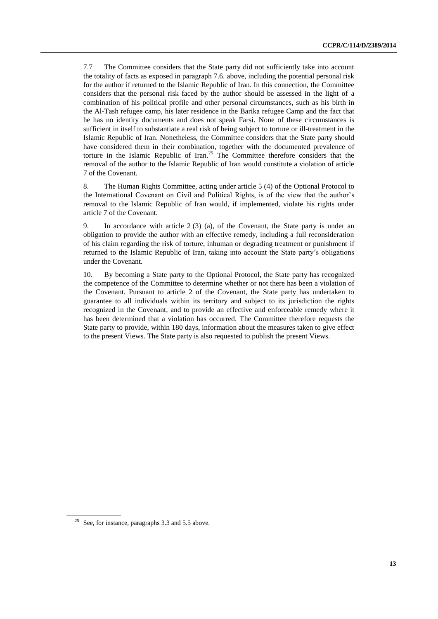7.7 The Committee considers that the State party did not sufficiently take into account the totality of facts as exposed in paragraph 7.6. above, including the potential personal risk for the author if returned to the Islamic Republic of Iran. In this connection, the Committee considers that the personal risk faced by the author should be assessed in the light of a combination of his political profile and other personal circumstances, such as his birth in the Al-Tash refugee camp, his later residence in the Barika refugee Camp and the fact that he has no identity documents and does not speak Farsi. None of these circumstances is sufficient in itself to substantiate a real risk of being subject to torture or ill-treatment in the Islamic Republic of Iran. Nonetheless, the Committee considers that the State party should have considered them in their combination, together with the documented prevalence of torture in the Islamic Republic of Iran.<sup>25</sup> The Committee therefore considers that the removal of the author to the Islamic Republic of Iran would constitute a violation of article 7 of the Covenant.

8. The Human Rights Committee, acting under article 5 (4) of the Optional Protocol to the International Covenant on Civil and Political Rights, is of the view that the author's removal to the Islamic Republic of Iran would, if implemented, violate his rights under article 7 of the Covenant.

9. In accordance with article 2 (3) (a), of the Covenant, the State party is under an obligation to provide the author with an effective remedy, including a full reconsideration of his claim regarding the risk of torture, inhuman or degrading treatment or punishment if returned to the Islamic Republic of Iran, taking into account the State party's obligations under the Covenant.

10. By becoming a State party to the Optional Protocol, the State party has recognized the competence of the Committee to determine whether or not there has been a violation of the Covenant. Pursuant to article 2 of the Covenant, the State party has undertaken to guarantee to all individuals within its territory and subject to its jurisdiction the rights recognized in the Covenant, and to provide an effective and enforceable remedy where it has been determined that a violation has occurred. The Committee therefore requests the State party to provide, within 180 days, information about the measures taken to give effect to the present Views. The State party is also requested to publish the present Views.

 $25$  See, for instance, paragraphs 3.3 and 5.5 above.